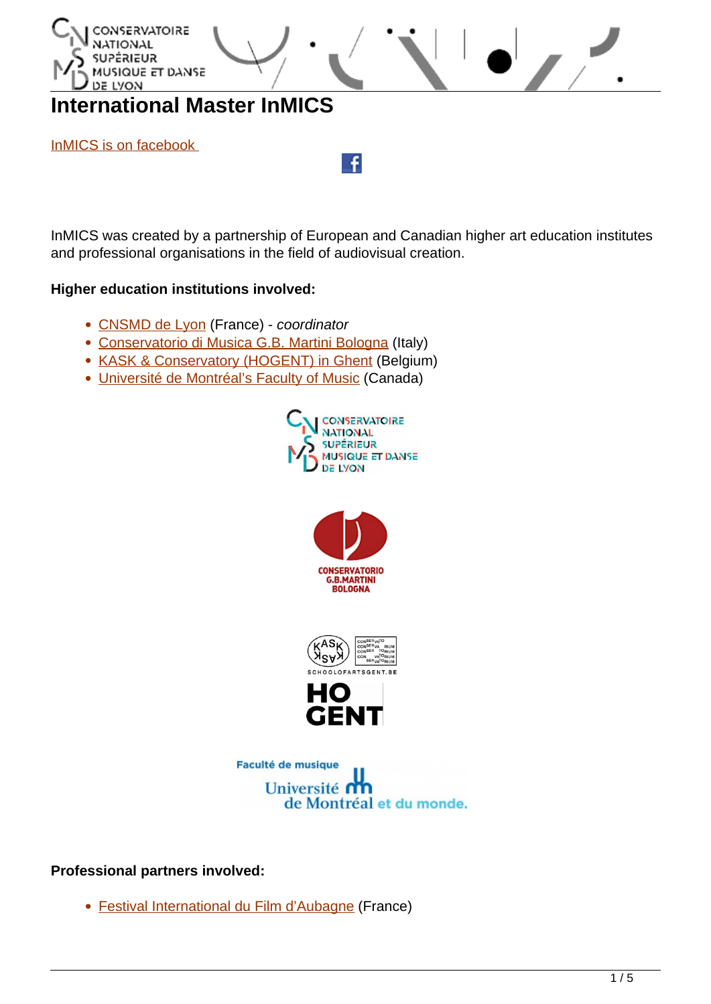

InMICS was created by a partnership of European and Canadian higher art education institutes and professional organisations in the field of audiovisual creation.

### **Higher education institutions involved:**

- [CNSMD de Lyon](http://www.cnsmd-lyon.fr/) (France) coordinator
- [Conservatorio di Musica G.B. Martini Bologna](http://www.conservatorio-bologna.com/) (Italy)
- [KASK & Conservatory \(HOGENT\) in Ghent](https://schoolofartsgent.be/en/) (Belgium)
- [Université de Montréal's Faculty of Music](http://www.musique.umontreal.ca/english.html) (Canada)











### **Professional partners involved:**

[Festival International du Film d'Aubagne](http://www.aubagne-filmfest.fr/index.php) (France)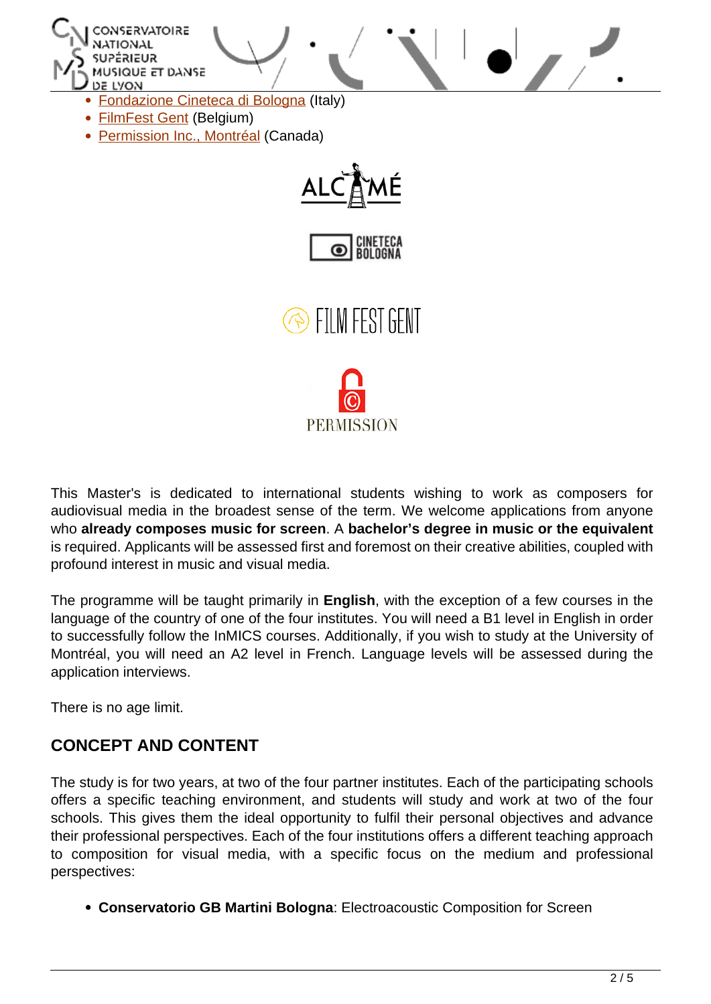



**SEILM FEST GENT** 



This Master's is dedicated to international students wishing to work as composers for audiovisual media in the broadest sense of the term. We welcome applications from anyone who **already composes music for screen**. A **bachelor's degree in music or the equivalent** is required. Applicants will be assessed first and foremost on their creative abilities, coupled with profound interest in music and visual media.

The programme will be taught primarily in **English**, with the exception of a few courses in the language of the country of one of the four institutes. You will need a B1 level in English in order to successfully follow the InMICS courses. Additionally, if you wish to study at the University of Montréal, you will need an A2 level in French. Language levels will be assessed during the application interviews.

There is no age limit.

## **CONCEPT AND CONTENT**

The study is for two years, at two of the four partner institutes. Each of the participating schools offers a specific teaching environment, and students will study and work at two of the four schools. This gives them the ideal opportunity to fulfil their personal objectives and advance their professional perspectives. Each of the four institutions offers a different teaching approach to composition for visual media, with a specific focus on the medium and professional perspectives:

**Conservatorio GB Martini Bologna**: Electroacoustic Composition for Screen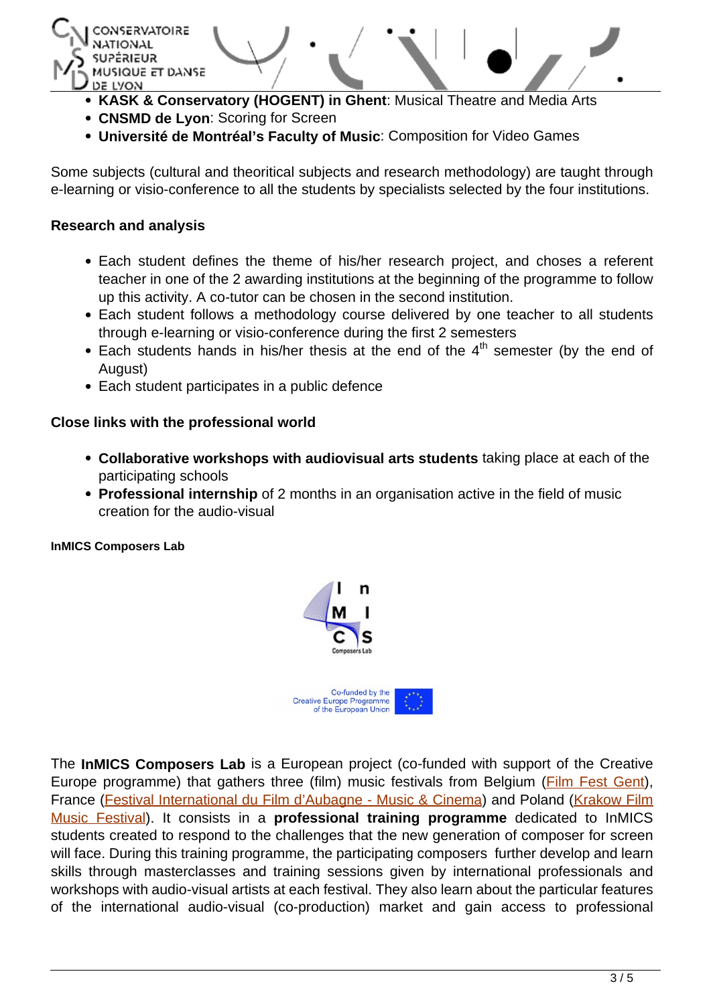

- **KASK & Conservatory (HOGENT) in Ghent**: Musical Theatre and Media Arts
- **CNSMD de Lyon**: Scoring for Screen
- **Université de Montréal's Faculty of Music**: Composition for Video Games

Some subjects (cultural and theoritical subjects and research methodology) are taught through e-learning or visio-conference to all the students by specialists selected by the four institutions.

### **Research and analysis**

- Each student defines the theme of his/her research project, and choses a referent teacher in one of the 2 awarding institutions at the beginning of the programme to follow up this activity. A co-tutor can be chosen in the second institution.
- Each student follows a methodology course delivered by one teacher to all students through e-learning or visio-conference during the first 2 semesters
- $\bullet$  Each students hands in his/her thesis at the end of the  $4<sup>th</sup>$  semester (by the end of August)
- Each student participates in a public defence

## **Close links with the professional world**

- **Collaborative workshops with audiovisual arts students** taking place at each of the participating schools
- **Professional internship** of 2 months in an organisation active in the field of music creation for the audio-visual

#### **InMICS Composers Lab**



The **InMICS Composers Lab** is a European project (co-funded with support of the Creative Europe programme) that gathers three (film) music festivals from Belgium ([Film Fest Gent\)](https://www.filmfestival.be/nl), France ([Festival International du Film d'Aubagne](https://aubagne-filmfest.fr/fr/) - Music & Cinema) and Poland ([Krakow Film](http://fmf.fm/en) [Music Festival\)](http://fmf.fm/en). It consists in a **professional training programme** dedicated to InMICS students created to respond to the challenges that the new generation of composer for screen will face. During this training programme, the participating composers further develop and learn skills through masterclasses and training sessions given by international professionals and workshops with audio-visual artists at each festival. They also learn about the particular features of the international audio-visual (co-production) market and gain access to professional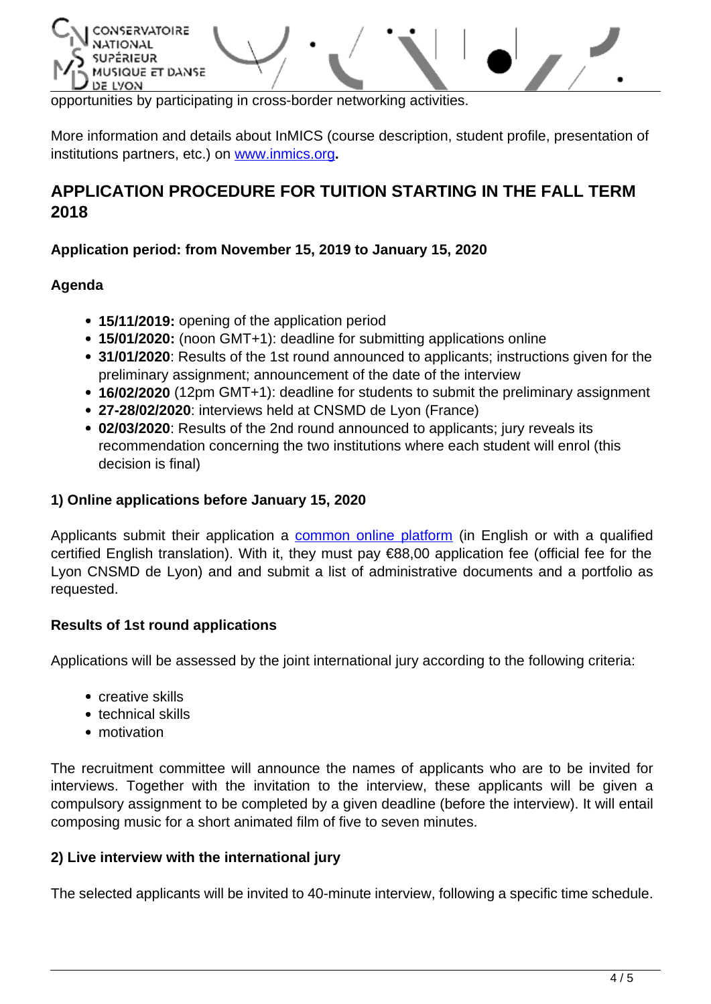

opportunities by participating in cross-border networking activities.

More information and details about InMICS (course description, student profile, presentation of institutions partners, etc.) on [www.inmics.org](http://www.inmics.org/)**.**

# **APPLICATION PROCEDURE FOR TUITION STARTING IN THE FALL TERM 2018**

## **Application period: from November 15, 2019 to January 15, 2020**

## **Agenda**

- **15/11/2019:** opening of the application period
- **15/01/2020:** (noon GMT+1): deadline for submitting applications online
- **31/01/2020**: Results of the 1st round announced to applicants; instructions given for the preliminary assignment; announcement of the date of the interview
- **16/02/2020** (12pm GMT+1): deadline for students to submit the preliminary assignment
- **27-28/02/2020**: interviews held at CNSMD de Lyon (France)
- **02/03/2020**: Results of the 2nd round announced to applicants; jury reveals its recommendation concerning the two institutions where each student will enrol (this decision is final)

## **1) Online applications before January 15, 2020**

Applicants submit their application a [common online platform](https://concours.cnsmd-lyon.fr/) (in English or with a qualified certified English translation). With it, they must pay €88,00 application fee (official fee for the Lyon CNSMD de Lyon) and and submit a list of administrative documents and a portfolio as requested.

### **Results of 1st round applications**

Applications will be assessed by the joint international jury according to the following criteria:

- creative skills
- technical skills
- motivation

The recruitment committee will announce the names of applicants who are to be invited for interviews. Together with the invitation to the interview, these applicants will be given a compulsory assignment to be completed by a given deadline (before the interview). It will entail composing music for a short animated film of five to seven minutes.

## **2) Live interview with the international jury**

The selected applicants will be invited to 40-minute interview, following a specific time schedule.